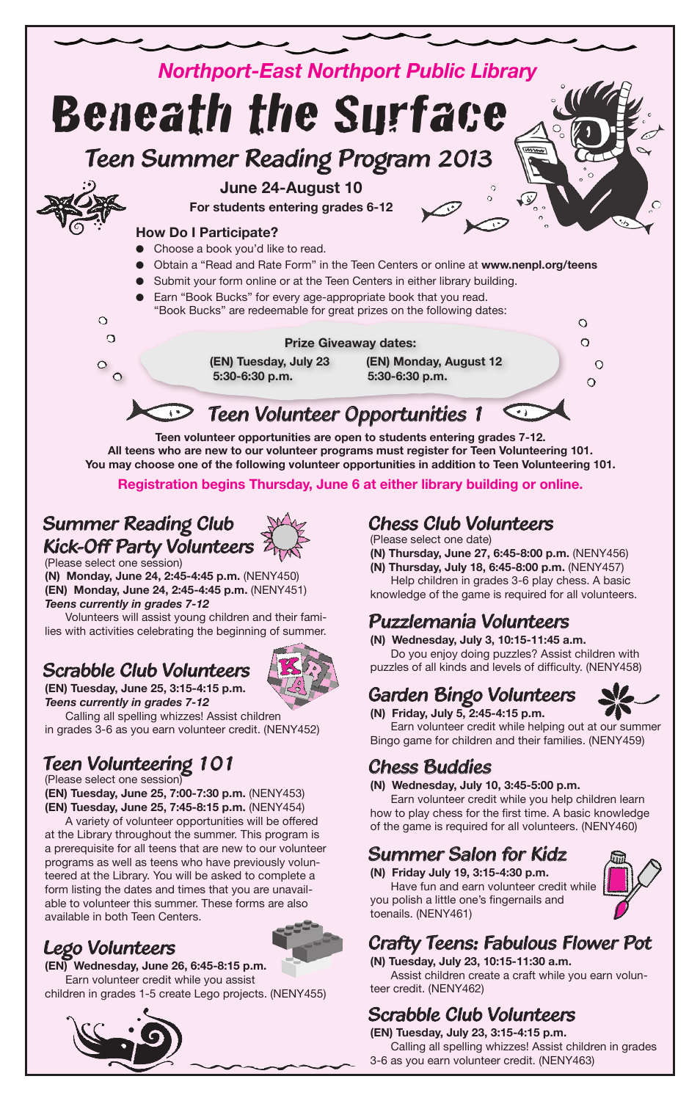

**You may choose one of the following volunteer opportunities in addition to Teen Volunteering 101.** 

**Registration begins Thursday, June 6 at either library building or online.**

### *Summer Reading Club Kick-Off Party Volunteers*

(Please select one session) **(N) Monday, June 24, 2:45-4:45 p.m.** (NENY450) **(EN) Monday, June 24, 2:45-4:45 p.m.** (NENY451) *Teens currently in grades 7-12*

Volunteers will assist young children and their families with activities celebrating the beginning of summer.

### *Scrabble Club Volunteers* **(EN) Tuesday, June 25, 3:15-4:15 p.m.**



*Teens currently in grades 7-12* Calling all spelling whizzes! Assist children in grades 3-6 as you earn volunteer credit. (NENY452)

### *Teen Volunteering 101*

#### (Please select one session)

**(EN) Tuesday, June 25, 7:00-7:30 p.m.** (NENY453) **(EN) Tuesday, June 25, 7:45-8:15 p.m.** (NENY454)

A variety of volunteer opportunities will be offered at the Library throughout the summer. This program is a prerequisite for all teens that are new to our volunteer programs as well as teens who have previously volunteered at the Library. You will be asked to complete a form listing the dates and times that you are unavailable to volunteer this summer. These forms are also available in both Teen Centers.

### *Lego Volunteers*



**(EN) Wednesday, June 26, 6:45-8:15 p.m.** Earn volunteer credit while you assist children in grades 1-5 create Lego projects. (NENY455)



### *Chess Club Volunteers*

(Please select one date)

**(N) Thursday, June 27, 6:45-8:00 p.m.** (NENY456)

**(N) Thursday, July 18, 6:45-8:00 p.m.** (NENY457) Help children in grades 3-6 play chess. A basic knowledge of the game is required for all volunteers.

### *Puzzlemania Volunteers*

**(N) Wednesday, July 3, 10:15-11:45 a.m.**

Do you enjoy doing puzzles? Assist children with puzzles of all kinds and levels of difficulty. (NENY458)

### *Garden Bingo Volunteers*



**(N) Friday, July 5, 2:45-4:15 p.m.**

Earn volunteer credit while helping out at our summer Bingo game for children and their families. (NENY459)

### *Chess Buddies*

#### **(N) Wednesday, July 10, 3:45-5:00 p.m.**

Earn volunteer credit while you help children learn how to play chess for the first time. A basic knowledge of the game is required for all volunteers. (NENY460)

### *Summer Salon for Kidz*

**(N) Friday July 19, 3:15-4:30 p.m.** Have fun and earn volunteer credit while you polish a little one's fingernails and toenails. (NENY461)



### *Crafty Teens: Fabulous Flower Pot*

**(N) Tuesday, July 23, 10:15-11:30 a.m.** Assist children create a craft while you earn volunteer credit. (NENY462)

### *Scrabble Club Volunteers*

**(EN) Tuesday, July 23, 3:15-4:15 p.m.** Calling all spelling whizzes! Assist children in grades 3-6 as you earn volunteer credit. (NENY463)